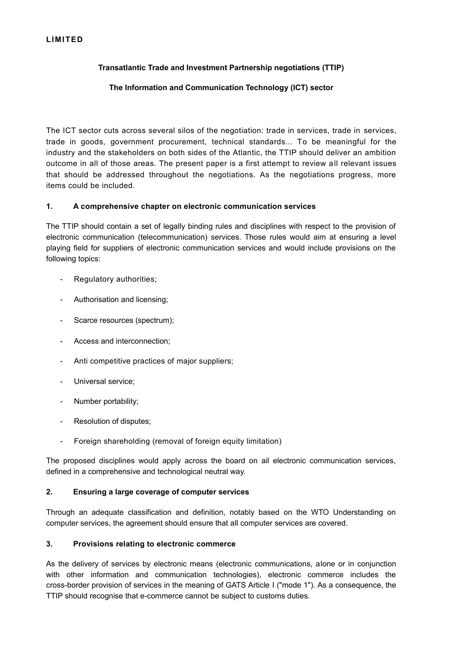# **LIMITED**

# **Transatlantic Trade and Investment Partnership negotiations (TTIP)**

# **The Information and Communication Technology (ICT) sector**

The ICT sector cuts across several silos of the negotiation: trade in services, trade in services, trade in goods, government procurement, technical standards... To be meaningful for the industry and the stakeholders on both sides of the Atlantic, the TTIP should deliver an ambition outcome in all of those areas. The present paper is a first attempt to review all relevant issues that should be addressed throughout the negotiations. As the negotiations progress, more items could be included.

### **1. A comprehensive chapter on electronic communication services**

The TTIP should contain a set of legally binding rules and disciplines with respect to the provision of electronic communication (telecommunication) services. Those rules would aim at ensuring a level playing field for suppliers of electronic communication services and would include provisions on the following topics:

- Regulatory authorities;
- Authorisation and licensing;
- Scarce resources (spectrum):
- Access and interconnection;
- Anti competitive practices of major suppliers;
- Universal service;
- Number portability;
- Resolution of disputes;
- Foreign shareholding (removal of foreign equity limitation)

The proposed disciplines would apply across the board on ail electronic communication services, defined in a comprehensive and technological neutral way.

### **2. Ensuring a large coverage of computer services**

Through an adequate classification and definition, notably based on the WTO Understanding on computer services, the agreement should ensure that all computer services are covered.

### **3. Provisions relating to electronic commerce**

As the delivery of services by electronic means (electronic communications, alone or in conjunction with other information and communication technologies), electronic commerce includes the cross-border provision of services in the meaning of GATS Article I ("mode 1"). As a consequence, the TTIP should recognise that e-commerce cannot be subject to customs duties.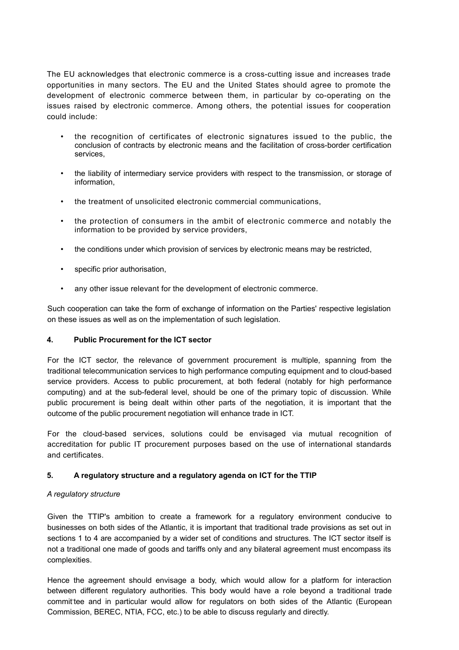The EU acknowledges that electronic commerce is a cross-cutting issue and increases trade opportunities in many sectors. The EU and the United States should agree to promote the development of electronic commerce between them, in particular by co-operating on the issues raised by electronic commerce. Among others, the potential issues for cooperation could include:

- the recognition of certificates of electronic signatures issued to the public, the conclusion of contracts by electronic means and the facilitation of cross-border certification services,
- the liability of intermediary service providers with respect to the transmission, or storage of information,
- the treatment of unsolicited electronic commercial communications.
- the protection of consumers in the ambit of electronic commerce and notably the information to be provided by service providers,
- the conditions under which provision of services by electronic means may be restricted,
- specific prior authorisation.
- any other issue relevant for the development of electronic commerce.

Such cooperation can take the form of exchange of information on the Parties' respective legislation on these issues as well as on the implementation of such legislation.

### **4. Public Procurement for the ICT sector**

For the ICT sector, the relevance of government procurement is multiple, spanning from the traditional telecommunication services to high performance computing equipment and to cloud-based service providers. Access to public procurement, at both federal (notably for high performance computing) and at the sub-federal level, should be one of the primary topic of discussion. While public procurement is being dealt within other parts of the negotiation, it is important that the outcome of the public procurement negotiation will enhance trade in ICT.

For the cloud-based services, solutions could be envisaged via mutual recognition of accreditation for public IT procurement purposes based on the use of international standards and certificates.

### **5. A regulatory structure and a regulatory agenda on ICT for the TTIP**

### *A regulatory structure*

Given the TTIP's ambition to create a framework for a regulatory environment conducive to businesses on both sides of the Atlantic, it is important that traditional trade provisions as set out in sections 1 to 4 are accompanied by a wider set of conditions and structures. The ICT sector itself is not a traditional one made of goods and tariffs only and any bilateral agreement must encompass its complexities.

Hence the agreement should envisage a body, which would allow for a platform for interaction between different regulatory authorities. This body would have a role beyond a traditional trade committee and in particular would allow for regulators on both sides of the Atlantic (European Commission, BEREC, NTIA, FCC, etc.) to be able to discuss regularly and directly.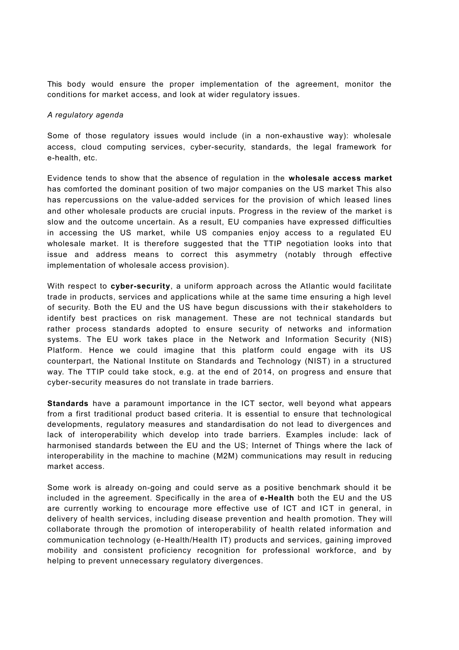This body would ensure the proper implementation of the agreement, monitor the conditions for market access, and look at wider regulatory issues.

#### *A regulatory agenda*

Some of those regulatory issues would include (in a non-exhaustive way): wholesale access, cloud computing services, cyber-security, standards, the legal framework for e-health, etc.

Evidence tends to show that the absence of regulation in the **wholesale access market** has comforted the dominant position of two major companies on the US market This also has repercussions on the value-added services for the provision of which leased lines and other wholesale products are crucial inputs. Progress in the review of the market is slow and the outcome uncertain. As a result, EU companies have expressed difficulties in accessing the US market, while US companies enjoy access to a regulated EU wholesale market. It is therefore suggested that the TTIP negotiation looks into that issue and address means to correct this asymmetry (notably through effective implementation of wholesale access provision).

With respect to **cyber-security**, a uniform approach across the Atlantic would facilitate trade in products, services and applications while at the same time ensuring a high level of security. Both the EU and the US have begun discussions with their stakeholders to identify best practices on risk management. These are not technical standards but rather process standards adopted to ensure security of networks and information systems. The EU work takes place in the Network and Information Security (NIS) Platform. Hence we could imagine that this platform could engage with its US counterpart, the National Institute on Standards and Technology (NIST) in a structured way. The TTIP could take stock, e.g. at the end of 2014, on progress and ensure that cyber-security measures do not translate in trade barriers.

**Standards** have a paramount importance in the ICT sector, well beyond what appears from a first traditional product based criteria. It is essential to ensure that technological developments, regulatory measures and standardisation do not lead to divergences and lack of interoperability which develop into trade barriers. Examples include: lack of harmonised standards between the EU and the US; Internet of Things where the lack of interoperability in the machine to machine (M2M) communications may result in reducing market access.

Some work is already on-going and could serve as a positive benchmark should it be included in the agreement. Specifically in the area of **e-Health** both the EU and the US are currently working to encourage more effective use of ICT and ICT in general, in delivery of health services, including disease prevention and health promotion. They will collaborate through the promotion of interoperability of health related information and communication technology (e-Health/Health IT) products and services, gaining improved mobility and consistent proficiency recognition for professional workforce, and by helping to prevent unnecessary regulatory divergences.